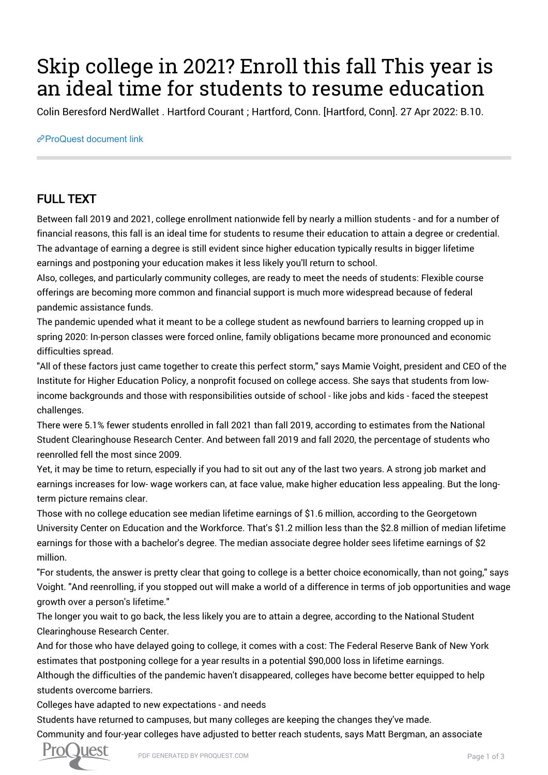## Skip college in 2021? Enroll this fall This year is an ideal time for students to resume education

Colin Beresford NerdWallet . Hartford Courant ; Hartford, Conn. [Hartford, Conn]. 27 Apr 2022: B.10.

[ProQuest document link](https://www.proquest.com/newspapers/skip-college-2021-enroll-this-fall-year-is-ideal/docview/2655460071/se-2?accountid=44910)

## FULL TEXT

Between fall 2019 and 2021, college enrollment nationwide fell by nearly a million students - and for a number of financial reasons, this fall is an ideal time for students to resume their education to attain a degree or credential. The advantage of earning a degree is still evident since higher education typically results in bigger lifetime earnings and postponing your education makes it less likely you'll return to school.

Also, colleges, and particularly community colleges, are ready to meet the needs of students: Flexible course offerings are becoming more common and financial support is much more widespread because of federal pandemic assistance funds.

The pandemic upended what it meant to be a college student as newfound barriers to learning cropped up in spring 2020: In-person classes were forced online, family obligations became more pronounced and economic difficulties spread.

"All of these factors just came together to create this perfect storm," says Mamie Voight, president and CEO of the Institute for Higher Education Policy, a nonprofit focused on college access. She says that students from lowincome backgrounds and those with responsibilities outside of school - like jobs and kids - faced the steepest challenges.

There were 5.1% fewer students enrolled in fall 2021 than fall 2019, according to estimates from the National Student Clearinghouse Research Center. And between fall 2019 and fall 2020, the percentage of students who reenrolled fell the most since 2009.

Yet, it may be time to return, especially if you had to sit out any of the last two years. A strong job market and earnings increases for low- wage workers can, at face value, make higher education less appealing. But the longterm picture remains clear.

Those with no college education see median lifetime earnings of \$1.6 million, according to the Georgetown University Center on Education and the Workforce. That's \$1.2 million less than the \$2.8 million of median lifetime earnings for those with a bachelor's degree. The median associate degree holder sees lifetime earnings of \$2 million.

"For students, the answer is pretty clear that going to college is a better choice economically, than not going," says Voight. "And reenrolling, if you stopped out will make a world of a difference in terms of job opportunities and wage growth over a person's lifetime."

The longer you wait to go back, the less likely you are to attain a degree, according to the National Student Clearinghouse Research Center.

And for those who have delayed going to college, it comes with a cost: The Federal Reserve Bank of New York estimates that postponing college for a year results in a potential \$90,000 loss in lifetime earnings.

Although the difficulties of the pandemic haven't disappeared, colleges have become better equipped to help students overcome barriers.

Colleges have adapted to new expectations - and needs

Students have returned to campuses, but many colleges are keeping the changes they've made. Community and four-year colleges have adjusted to better reach students, says Matt Bergman, an associate

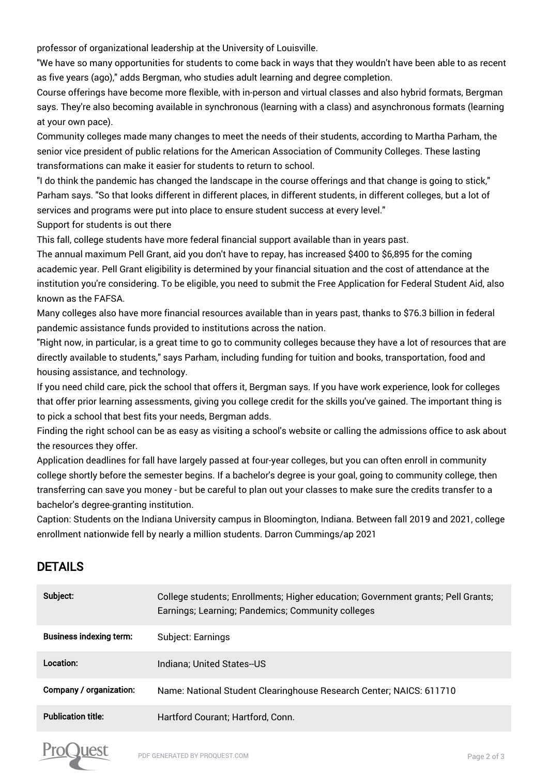professor of organizational leadership at the University of Louisville.

"We have so many opportunities for students to come back in ways that they wouldn't have been able to as recent as five years (ago)," adds Bergman, who studies adult learning and degree completion.

Course offerings have become more flexible, with in-person and virtual classes and also hybrid formats, Bergman says. They're also becoming available in synchronous (learning with a class) and asynchronous formats (learning at your own pace).

Community colleges made many changes to meet the needs of their students, according to Martha Parham, the senior vice president of public relations for the American Association of Community Colleges. These lasting transformations can make it easier for students to return to school.

"I do think the pandemic has changed the landscape in the course offerings and that change is going to stick," Parham says. "So that looks different in different places, in different students, in different colleges, but a lot of services and programs were put into place to ensure student success at every level."

Support for students is out there

This fall, college students have more federal financial support available than in years past.

The annual maximum Pell Grant, aid you don't have to repay, has increased \$400 to \$6,895 for the coming academic year. Pell Grant eligibility is determined by your financial situation and the cost of attendance at the institution you're considering. To be eligible, you need to submit the Free Application for Federal Student Aid, also known as the FAFSA.

Many colleges also have more financial resources available than in years past, thanks to \$76.3 billion in federal pandemic assistance funds provided to institutions across the nation.

"Right now, in particular, is a great time to go to community colleges because they have a lot of resources that are directly available to students," says Parham, including funding for tuition and books, transportation, food and housing assistance, and technology.

If you need child care, pick the school that offers it, Bergman says. If you have work experience, look for colleges that offer prior learning assessments, giving you college credit for the skills you've gained. The important thing is to pick a school that best fits your needs, Bergman adds.

Finding the right school can be as easy as visiting a school's website or calling the admissions office to ask about the resources they offer.

Application deadlines for fall have largely passed at four-year colleges, but you can often enroll in community college shortly before the semester begins. If a bachelor's degree is your goal, going to community college, then transferring can save you money - but be careful to plan out your classes to make sure the credits transfer to a bachelor's degree-granting institution.

Caption: Students on the Indiana University campus in Bloomington, Indiana. Between fall 2019 and 2021, college enrollment nationwide fell by nearly a million students. Darron Cummings/ap 2021

## DETAILS

| Subject:                       | College students; Enrollments; Higher education; Government grants; Pell Grants;<br>Earnings; Learning; Pandemics; Community colleges |
|--------------------------------|---------------------------------------------------------------------------------------------------------------------------------------|
| <b>Business indexing term:</b> | Subject: Earnings                                                                                                                     |
| Location:                      | Indiana; United States--US                                                                                                            |
| Company / organization:        | Name: National Student Clearinghouse Research Center; NAICS: 611710                                                                   |
| <b>Publication title:</b>      | Hartford Courant; Hartford, Conn.                                                                                                     |